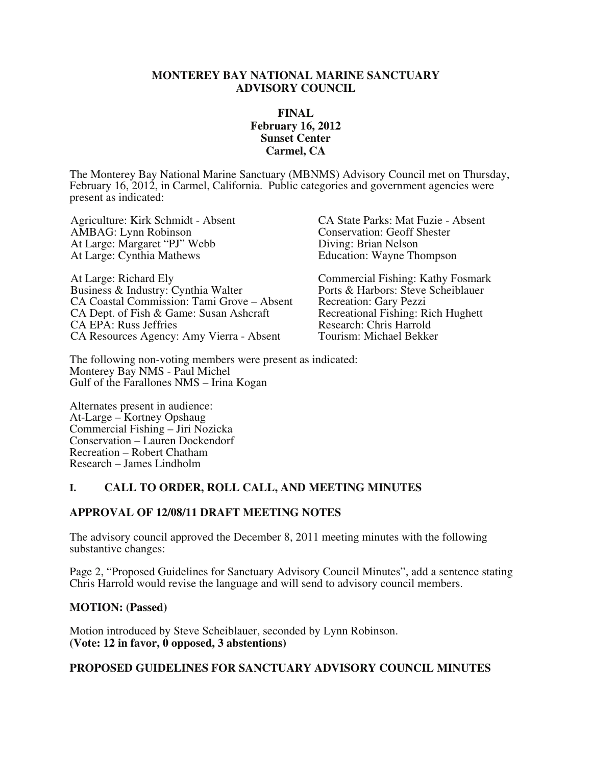### **MONTEREY BAY NATIONAL MARINE SANCTUARY ADVISORY COUNCIL**

### **FINAL February 16, 2012 Sunset Center Carmel, CA**

The Monterey Bay National Marine Sanctuary (MBNMS) Advisory Council met on Thursday, February 16, 2012, in Carmel, California. Public categories and government agencies were present as indicated:

AMBAG: Lynn Robinson<br>
At Large: Margaret "PJ" Webb<br>
Conservation: Geoff Shester<br>
Diving: Brian Nelson At Large: Margaret "PJ" Webb At Large: Cynthia Mathews Education: Wayne Thompson

At Large: Richard Ely<br>
Business & Industry: Cynthia Walter<br>
Ports & Harbors: Steve Scheiblauer Business & Industry: Cynthia Walter CA Coastal Commission: Tami Grove – Absent Recreation: Gary Pezzi<br>CA Dept. of Fish & Game: Susan Ashcraft Recreational Fishing: Rich Hughett CA Dept. of Fish & Game: Susan Ashcraft Recreational Fishing: Rich Recreational Fishing: Rich Research: Chris Harrold CA EPA: Russ Jeffries<br>
CA Resources Agency: Amy Vierra - Absent Tourism: Michael Bekker CA Resources Agency: Amy Vierra - Absent

Agriculture: Kirk Schmidt - Absent CA State Parks: Mat Fuzie - Absent

The following non-voting members were present as indicated: Monterey Bay NMS - Paul Michel Gulf of the Farallones NMS – Irina Kogan

Alternates present in audience: At-Large – Kortney Opshaug Commercial Fishing – Jiri Nozicka Conservation – Lauren Dockendorf Recreation – Robert Chatham Research – James Lindholm

## **I. CALL TO ORDER, ROLL CALL, AND MEETING MINUTES**

#### **APPROVAL OF 12/08/11 DRAFT MEETING NOTES**

The advisory council approved the December 8, 2011 meeting minutes with the following substantive changes:

Page 2, "Proposed Guidelines for Sanctuary Advisory Council Minutes", add a sentence stating Chris Harrold would revise the language and will send to advisory council members.

#### **MOTION: (Passed)**

Motion introduced by Steve Scheiblauer, seconded by Lynn Robinson. **(Vote: 12 in favor, 0 opposed, 3 abstentions)**

### **PROPOSED GUIDELINES FOR SANCTUARY ADVISORY COUNCIL MINUTES**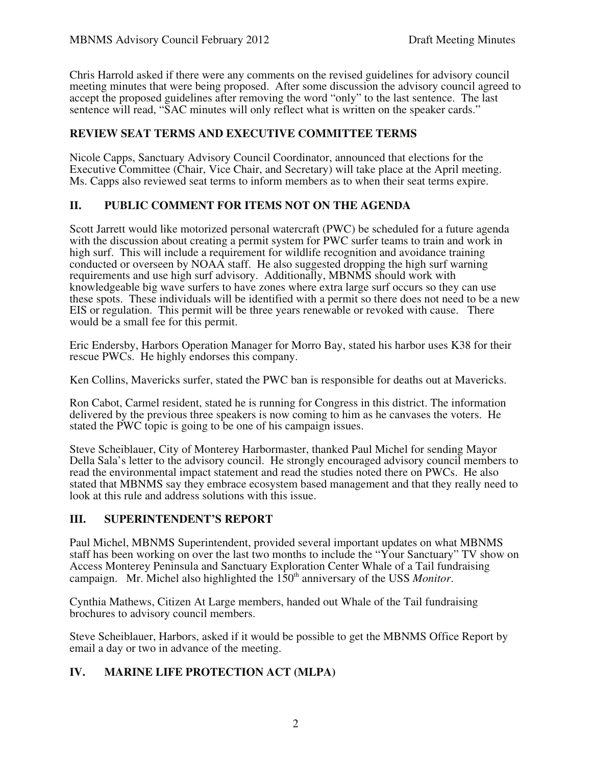Chris Harrold asked if there were any comments on the revised guidelines for advisory council meeting minutes that were being proposed. After some discussion the advisory council agreed to accept the proposed guidelines after removing the word "only" to the last sentence. The last sentence will read, "SAC minutes will only reflect what is written on the speaker cards."

## **REVIEW SEAT TERMS AND EXECUTIVE COMMITTEE TERMS**

Nicole Capps, Sanctuary Advisory Council Coordinator, announced that elections for the Executive Committee (Chair, Vice Chair, and Secretary) will take place at the April meeting. Ms. Capps also reviewed seat terms to inform members as to when their seat terms expire.

## **II. PUBLIC COMMENT FOR ITEMS NOT ON THE AGENDA**

Scott Jarrett would like motorized personal watercraft (PWC) be scheduled for a future agenda with the discussion about creating a permit system for PWC surfer teams to train and work in high surf. This will include a requirement for wildlife recognition and avoidance training conducted or overseen by NOAA staff. He also suggested dropping the high surf warning requirements and use high surf advisory. Additionally, MBNMS should work with knowledgeable big wave surfers to have zones where extra large surf occurs so they can use these spots. These individuals will be identified with a permit so there does not need to be a new EIS or regulation. This permit will be three years renewable or revoked with cause. There would be a small fee for this permit.

Eric Endersby, Harbors Operation Manager for Morro Bay, stated his harbor uses K38 for their rescue PWCs. He highly endorses this company.

Ken Collins, Mavericks surfer, stated the PWC ban is responsible for deaths out at Mavericks.

Ron Cabot, Carmel resident, stated he is running for Congress in this district. The information delivered by the previous three speakers is now coming to him as he canvases the voters. He stated the PWC topic is going to be one of his campaign issues.

Steve Scheiblauer, City of Monterey Harbormaster, thanked Paul Michel for sending Mayor Della Sala's letter to the advisory council. He strongly encouraged advisory council members to read the environmental impact statement and read the studies noted there on PWCs. He also stated that MBNMS say they embrace ecosystem based management and that they really need to look at this rule and address solutions with this issue.

## **III. SUPERINTENDENT'S REPORT**

Paul Michel, MBNMS Superintendent, provided several important updates on what MBNMS staff has been working on over the last two months to include the "Your Sanctuary" TV show on Access Monterey Peninsula and Sanctuary Exploration Center Whale of a Tail fundraising campaign. Mr. Michel also highlighted the 150<sup>th</sup> anniversary of the USS *Monitor*.

Cynthia Mathews, Citizen At Large members, handed out Whale of the Tail fundraising brochures to advisory council members.

Steve Scheiblauer, Harbors, asked if it would be possible to get the MBNMS Office Report by email a day or two in advance of the meeting.

# **IV. MARINE LIFE PROTECTION ACT (MLPA)**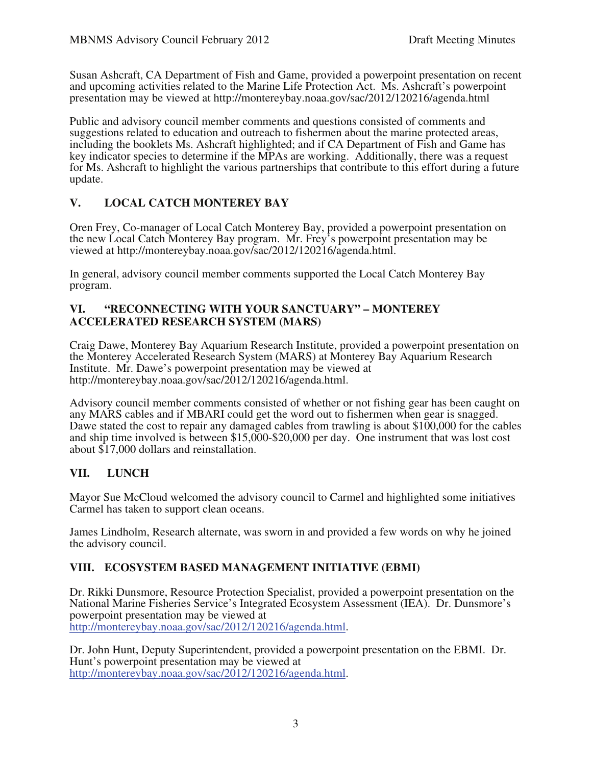Susan Ashcraft, CA Department of Fish and Game, provided a powerpoint presentation on recent and upcoming activities related to the Marine Life Protection Act. Ms. Ashcraft's powerpoint presentation may be viewed at http://montereybay.noaa.gov/sac/2012/120216/agenda.html

Public and advisory council member comments and questions consisted of comments and suggestions related to education and outreach to fishermen about the marine protected areas, including the booklets Ms. Ashcraft highlighted; and if CA Department of Fish and Game has key indicator species to determine if the MPAs are working. Additionally, there was a request for Ms. Ashcraft to highlight the various partnerships that contribute to this effort during a future update.

# **V. LOCAL CATCH MONTEREY BAY**

Oren Frey, Co-manager of Local Catch Monterey Bay, provided a powerpoint presentation on the new Local Catch Monterey Bay program. Mr. Frey's powerpoint presentation may be viewed at http://montereybay.noaa.gov/sac/2012/120216/agenda.html.

In general, advisory council member comments supported the Local Catch Monterey Bay program.

### **VI. "RECONNECTING WITH YOUR SANCTUARY" – MONTEREY ACCELERATED RESEARCH SYSTEM (MARS)**

Craig Dawe, Monterey Bay Aquarium Research Institute, provided a powerpoint presentation on the Monterey Accelerated Research System (MARS) at Monterey Bay Aquarium Research Institute. Mr. Dawe's powerpoint presentation may be viewed at http://montereybay.noaa.gov/sac/2012/120216/agenda.html.

Advisory council member comments consisted of whether or not fishing gear has been caught on any MARS cables and if MBARI could get the word out to fishermen when gear is snagged. Dawe stated the cost to repair any damaged cables from trawling is about \$100,000 for the cables and ship time involved is between \$15,000-\$20,000 per day. One instrument that was lost cost about \$17,000 dollars and reinstallation.

# **VII. LUNCH**

Mayor Sue McCloud welcomed the advisory council to Carmel and highlighted some initiatives Carmel has taken to support clean oceans.

James Lindholm, Research alternate, was sworn in and provided a few words on why he joined the advisory council.

# **VIII. ECOSYSTEM BASED MANAGEMENT INITIATIVE (EBMI)**

Dr. Rikki Dunsmore, Resource Protection Specialist, provided a powerpoint presentation on the National Marine Fisheries Service's Integrated Ecosystem Assessment (IEA). Dr. Dunsmore's powerpoint presentation may be viewed at http://montereybay.noaa.gov/sac/2012/120216/agenda.html.

Dr. John Hunt, Deputy Superintendent, provided a powerpoint presentation on the EBMI. Dr. Hunt's powerpoint presentation may be viewed at http://montereybay.noaa.gov/sac/2012/120216/agenda.html.